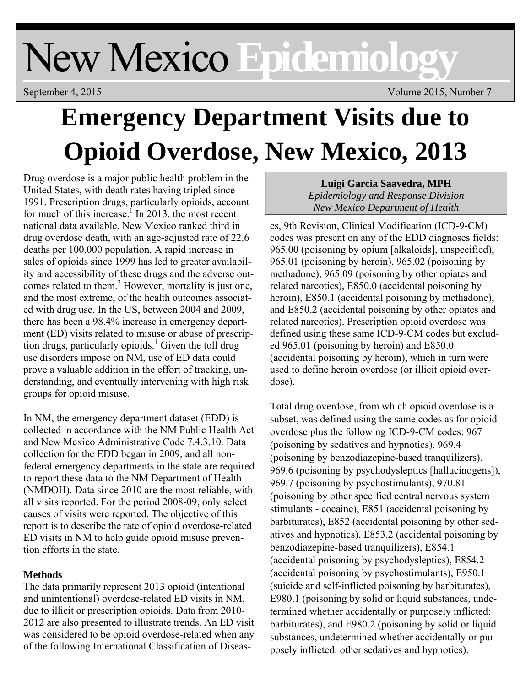# New Mexico **Epidemiology**

September 4, 2015 Volume 2015, Number 7

# **Emergency Department Visits due to Opioid Overdose, New Mexico, 2013**

Drug overdose is a major public health problem in the United States, with death rates having tripled since 1991. Prescription drugs, particularly opioids, account for much of this increase.<sup> $\text{I}$ </sup> In 2013, the most recent national data available, New Mexico ranked third in drug overdose death, with an age-adjusted rate of 22.6 deaths per 100,000 population. A rapid increase in sales of opioids since 1999 has led to greater availability and accessibility of these drugs and the adverse outcomes related to them.<sup>2</sup> However, mortality is just one, and the most extreme, of the health outcomes associated with drug use. In the US, between 2004 and 2009, there has been a 98.4% increase in emergency department (ED) visits related to misuse or abuse of prescription drugs, particularly opioids.<sup>1</sup> Given the toll drug use disorders impose on NM, use of ED data could prove a valuable addition in the effort of tracking, understanding, and eventually intervening with high risk groups for opioid misuse.

In NM, the emergency department dataset (EDD) is collected in accordance with the NM Public Health Act and New Mexico Administrative Code 7.4.3.10. Data collection for the EDD began in 2009, and all nonfederal emergency departments in the state are required to report these data to the NM Department of Health (NMDOH). Data since 2010 are the most reliable, with all visits reported. For the period 2008-09, only select causes of visits were reported. The objective of this report is to describe the rate of opioid overdose-related ED visits in NM to help guide opioid misuse prevention efforts in the state.

## **Methods**

The data primarily represent 2013 opioid (intentional and unintentional) overdose-related ED visits in NM, due to illicit or prescription opioids. Data from 2010- 2012 are also presented to illustrate trends. An ED visit was considered to be opioid overdose-related when any of the following International Classification of Diseas-

**Luigi Garcia Saavedra, MPH**  *Epidemiology and Response Division New Mexico Department of Health*

es, 9th Revision, Clinical Modification (ICD-9-CM) codes was present on any of the EDD diagnoses fields: 965.00 (poisoning by opium [alkaloids], unspecified), 965.01 (poisoning by heroin), 965.02 (poisoning by methadone), 965.09 (poisoning by other opiates and related narcotics), E850.0 (accidental poisoning by heroin), E850.1 (accidental poisoning by methadone), and E850.2 (accidental poisoning by other opiates and related narcotics). Prescription opioid overdose was defined using these same ICD-9-CM codes but excluded 965.01 (poisoning by heroin) and E850.0 (accidental poisoning by heroin), which in turn were used to define heroin overdose (or illicit opioid overdose).

Total drug overdose, from which opioid overdose is a subset, was defined using the same codes as for opioid overdose plus the following ICD-9-CM codes: 967 (poisoning by sedatives and hypnotics), 969.4 (poisoning by benzodiazepine-based tranquilizers), 969.6 (poisoning by psychodysleptics [hallucinogens]), 969.7 (poisoning by psychostimulants), 970.81 (poisoning by other specified central nervous system stimulants - cocaine), E851 (accidental poisoning by barbiturates), E852 (accidental poisoning by other sedatives and hypnotics), E853.2 (accidental poisoning by benzodiazepine-based tranquilizers), E854.1 (accidental poisoning by psychodysleptics), E854.2 (accidental poisoning by psychostimulants), E950.1 (suicide and self-inflicted poisoning by barbiturates), E980.1 (poisoning by solid or liquid substances, undetermined whether accidentally or purposely inflicted: barbiturates), and E980.2 (poisoning by solid or liquid substances, undetermined whether accidentally or purposely inflicted: other sedatives and hypnotics).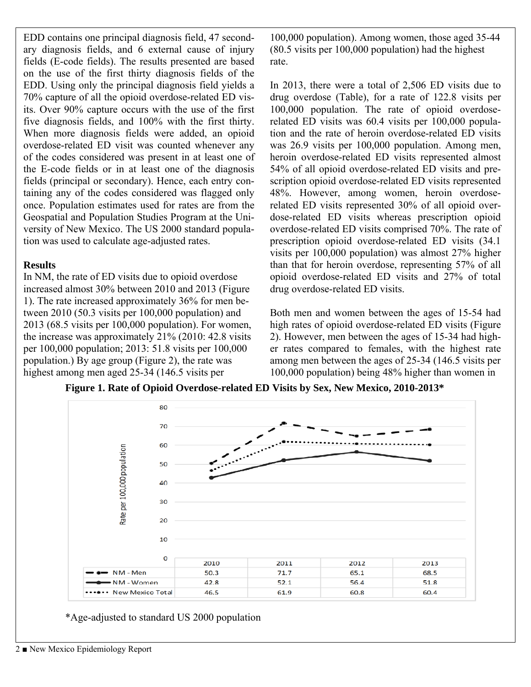EDD contains one principal diagnosis field, 47 secondary diagnosis fields, and 6 external cause of injury fields (E-code fields). The results presented are based on the use of the first thirty diagnosis fields of the EDD. Using only the principal diagnosis field yields a 70% capture of all the opioid overdose-related ED visits. Over 90% capture occurs with the use of the first five diagnosis fields, and 100% with the first thirty. When more diagnosis fields were added, an opioid overdose-related ED visit was counted whenever any of the codes considered was present in at least one of the E-code fields or in at least one of the diagnosis fields (principal or secondary). Hence, each entry containing any of the codes considered was flagged only once. Population estimates used for rates are from the Geospatial and Population Studies Program at the University of New Mexico. The US 2000 standard population was used to calculate age-adjusted rates.

#### **Results**

In NM, the rate of ED visits due to opioid overdose increased almost 30% between 2010 and 2013 (Figure 1). The rate increased approximately 36% for men between 2010 (50.3 visits per 100,000 population) and 2013 (68.5 visits per 100,000 population). For women, the increase was approximately 21% (2010: 42.8 visits per 100,000 population; 2013: 51.8 visits per 100,000 population.) By age group (Figure 2), the rate was highest among men aged 25-34 (146.5 visits per

100,000 population). Among women, those aged 35-44 (80.5 visits per 100,000 population) had the highest rate.

In 2013, there were a total of 2,506 ED visits due to drug overdose (Table), for a rate of 122.8 visits per 100,000 population. The rate of opioid overdoserelated ED visits was 60.4 visits per 100,000 population and the rate of heroin overdose-related ED visits was 26.9 visits per 100,000 population. Among men, heroin overdose-related ED visits represented almost 54% of all opioid overdose-related ED visits and prescription opioid overdose-related ED visits represented 48%. However, among women, heroin overdoserelated ED visits represented 30% of all opioid overdose-related ED visits whereas prescription opioid overdose-related ED visits comprised 70%. The rate of prescription opioid overdose-related ED visits (34.1 visits per 100,000 population) was almost 27% higher than that for heroin overdose, representing 57% of all opioid overdose-related ED visits and 27% of total drug overdose-related ED visits.

Both men and women between the ages of 15-54 had high rates of opioid overdose-related ED visits (Figure 2). However, men between the ages of 15-34 had higher rates compared to females, with the highest rate among men between the ages of 25-34 (146.5 visits per 100,000 population) being 48% higher than women in

**Figure 1. Rate of Opioid Overdose-related ED Visits by Sex, New Mexico, 2010-2013\*** 



\*Age-adjusted to standard US 2000 population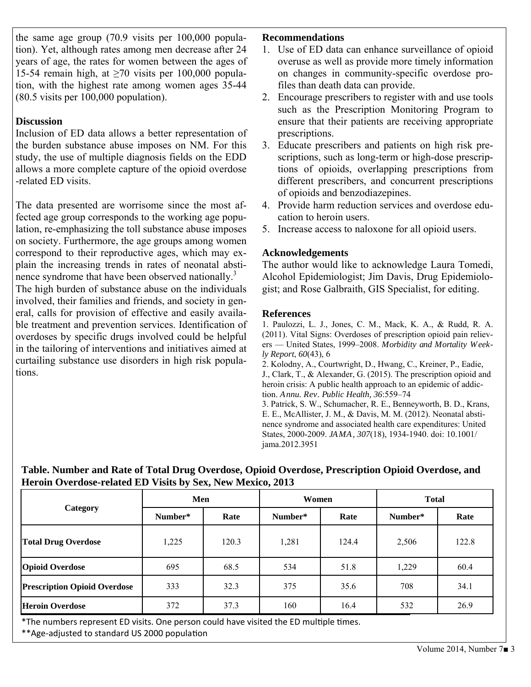the same age group (70.9 visits per 100,000 population). Yet, although rates among men decrease after 24 years of age, the rates for women between the ages of 15-54 remain high, at  $\geq$ 70 visits per 100,000 population, with the highest rate among women ages 35-44 (80.5 visits per 100,000 population).

### **Discussion**

Inclusion of ED data allows a better representation of the burden substance abuse imposes on NM. For this study, the use of multiple diagnosis fields on the EDD allows a more complete capture of the opioid overdose -related ED visits.

The data presented are worrisome since the most affected age group corresponds to the working age population, re-emphasizing the toll substance abuse imposes on society. Furthermore, the age groups among women correspond to their reproductive ages, which may explain the increasing trends in rates of neonatal abstinence syndrome that have been observed nationally.<sup>3</sup>

The high burden of substance abuse on the individuals involved, their families and friends, and society in general, calls for provision of effective and easily available treatment and prevention services. Identification of overdoses by specific drugs involved could be helpful in the tailoring of interventions and initiatives aimed at curtailing substance use disorders in high risk populations.

#### **Recommendations**

- 1. Use of ED data can enhance surveillance of opioid overuse as well as provide more timely information on changes in community-specific overdose profiles than death data can provide.
- 2. Encourage prescribers to register with and use tools such as the Prescription Monitoring Program to ensure that their patients are receiving appropriate prescriptions.
- 3. Educate prescribers and patients on high risk prescriptions, such as long-term or high-dose prescriptions of opioids, overlapping prescriptions from different prescribers, and concurrent prescriptions of opioids and benzodiazepines.
- 4. Provide harm reduction services and overdose education to heroin users.
- 5. Increase access to naloxone for all opioid users.

#### **Acknowledgements**

The author would like to acknowledge Laura Tomedi, Alcohol Epidemiologist; Jim Davis, Drug Epidemiologist; and Rose Galbraith, GIS Specialist, for editing.

#### **References**

1. Paulozzi, L. J., Jones, C. M., Mack, K. A., & Rudd, R. A. (2011). Vital Signs: Overdoses of prescription opioid pain relievers — United States, 1999–2008. *Morbidity and Mortality Weekly Report*, *60*(43), 6

2. Kolodny, A., Courtwright, D., Hwang, C., Kreiner, P., Eadie, J., Clark, T., & Alexander, G. (2015). The prescription opioid and heroin crisis: A public health approach to an epidemic of addiction. *Annu. Rev. Public Health, 36*:559–74

3. Patrick, S. W., Schumacher, R. E., Benneyworth, B. D., Krans, E. E., McAllister, J. M., & Davis, M. M. (2012). Neonatal abstinence syndrome and associated health care expenditures: United States, 2000-2009. *JAMA, 307*(18), 1934-1940. doi: 10.1001/ jama.2012.3951

**Table. Number and Rate of Total Drug Overdose, Opioid Overdose, Prescription Opioid Overdose, and Heroin Overdose-related ED Visits by Sex, New Mexico, 2013** 

| Category                            | Men     |       | Women   |       | <b>Total</b> |       |
|-------------------------------------|---------|-------|---------|-------|--------------|-------|
|                                     | Number* | Rate  | Number* | Rate  | Number*      | Rate  |
| <b>Total Drug Overdose</b>          | 1,225   | 120.3 | 1,281   | 124.4 | 2,506        | 122.8 |
| <b>Opioid Overdose</b>              | 695     | 68.5  | 534     | 51.8  | 1,229        | 60.4  |
| <b>Prescription Opioid Overdose</b> | 333     | 32.3  | 375     | 35.6  | 708          | 34.1  |
| <b>Heroin Overdose</b>              | 372     | 37.3  | 160     | 16.4  | 532          | 26.9  |

\*The numbers represent ED visits. One person could have visited the ED multiple times.

\*\* Age-adjusted to standard US 2000 population